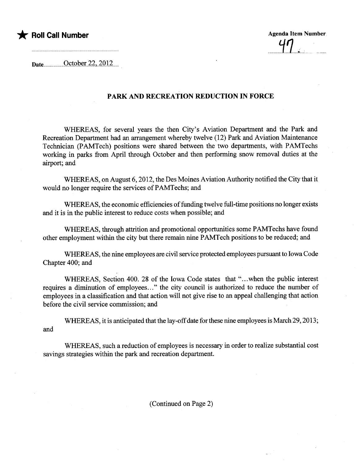

........~.1...;..: ..

 $Date$   $October 22, 2012$ 

## PARK AND RECREATION REDUCTION IN FORCE

WHEREAS, for several years the then City's Aviation Department and the Park and Recreation Department had an arrangement whereby twelve (12) Park and Aviation Maintenance Technician (PAMTech) positions were shared between the two departments, with PAMTechs working in parks from April through October and then performing snow removal duties at the airport; and

WHEREAS, on August 6, 2012, the Des Moines Aviation Authority notified the City that it would no longer require the services of PAMTechs; and

WHEREAS, the economic efficiencies of fuding twelve ful-time positions no longer exists and it is in the public interest to reduce costs when possible; and

WHEREAS, through attrition and promotional opportunities some PAMTechs have found other employment within the city but there remain nine PAMTech positions to be reduced; and

WHEREAS, the nine employees are civil service protected employees pursuant to Iowa Code Chapter 400; and

WHEREAS, Section 400. 28 of the Iowa Code states that "...when the public interest requires a diminution of employees..." the city council is authorized to reduce the number of employees in a classification and that action will not give rise to an appeal challenging that action before the civil service commission; and

WHEREAS, it is anticipated that the lay-off date for these nine employees is March 29, 2013; and

WHEREAS, such a reduction of employees is necessary in order to realize substantial cost savings strategies within the park and recreation department.

(Continued on Page 2)